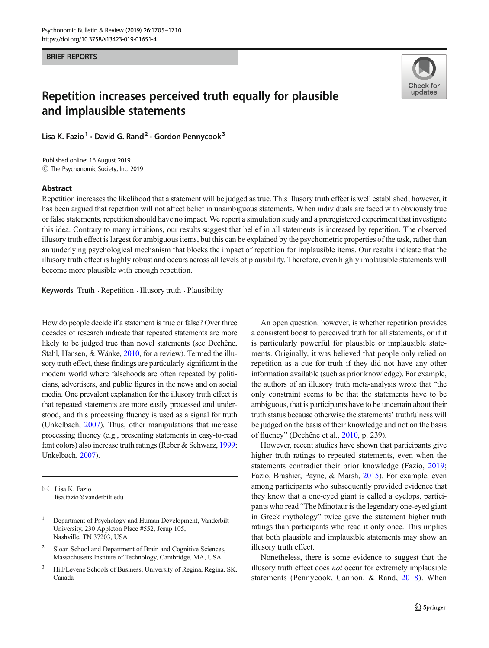#### BRIEF REPORTS



# Repetition increases perceived truth equally for plausible and implausible statements

Lisa K. Fazio<sup>1</sup> · David G. Rand<sup>2</sup> · Gordon Pennycook<sup>3</sup>

 $\odot$  The Psychonomic Society, Inc. 2019 Published online: 16 August 2019

### Abstract

Repetition increases the likelihood that a statement will be judged as true. This illusory truth effect is well established; however, it has been argued that repetition will not affect belief in unambiguous statements. When individuals are faced with obviously true or false statements, repetition should have no impact. We report a simulation study and a preregistered experiment that investigate this idea. Contrary to many intuitions, our results suggest that belief in all statements is increased by repetition. The observed illusory truth effect is largest for ambiguous items, but this can be explained by the psychometric properties of the task, rather than an underlying psychological mechanism that blocks the impact of repetition for implausible items. Our results indicate that the illusory truth effect is highly robust and occurs across all levels of plausibility. Therefore, even highly implausible statements will become more plausible with enough repetition.

Keywords Truth . Repetition . Illusory truth . Plausibility

How do people decide if a statement is true or false? Over three decades of research indicate that repeated statements are more likely to be judged true than novel statements (see Dechêne, Stahl, Hansen, & Wänke, [2010,](#page-5-0) for a review). Termed the illusory truth effect, these findings are particularly significant in the modern world where falsehoods are often repeated by politicians, advertisers, and public figures in the news and on social media. One prevalent explanation for the illusory truth effect is that repeated statements are more easily processed and understood, and this processing fluency is used as a signal for truth (Unkelbach, [2007](#page-5-0)). Thus, other manipulations that increase processing fluency (e.g., presenting statements in easy-to-read font colors) also increase truth ratings (Reber & Schwarz, [1999](#page-5-0); Unkelbach, [2007](#page-5-0)).

 $\boxtimes$  Lisa K. Fazio [lisa.fazio@vanderbilt.edu](mailto:lisa.fazio@vanderbilt.edu)

An open question, however, is whether repetition provides a consistent boost to perceived truth for all statements, or if it is particularly powerful for plausible or implausible statements. Originally, it was believed that people only relied on repetition as a cue for truth if they did not have any other information available (such as prior knowledge). For example, the authors of an illusory truth meta-analysis wrote that "the only constraint seems to be that the statements have to be ambiguous, that is participants have to be uncertain about their truth status because otherwise the statements' truthfulness will be judged on the basis of their knowledge and not on the basis of fluency" (Dechêne et al., [2010,](#page-5-0) p. 239).

However, recent studies have shown that participants give higher truth ratings to repeated statements, even when the statements contradict their prior knowledge (Fazio, [2019;](#page-5-0) Fazio, Brashier, Payne, & Marsh, [2015\)](#page-5-0). For example, even among participants who subsequently provided evidence that they knew that a one-eyed giant is called a cyclops, participants who read "The Minotaur is the legendary one-eyed giant in Greek mythology" twice gave the statement higher truth ratings than participants who read it only once. This implies that both plausible and implausible statements may show an illusory truth effect.

Nonetheless, there is some evidence to suggest that the illusory truth effect does not occur for extremely implausible statements (Pennycook, Cannon, & Rand, [2018\)](#page-5-0). When

<sup>&</sup>lt;sup>1</sup> Department of Psychology and Human Development, Vanderbilt University, 230 Appleton Place #552, Jesup 105, Nashville, TN 37203, USA

<sup>&</sup>lt;sup>2</sup> Sloan School and Department of Brain and Cognitive Sciences, Massachusetts Institute of Technology, Cambridge, MA, USA

<sup>3</sup> Hill/Levene Schools of Business, University of Regina, Regina, SK, Canada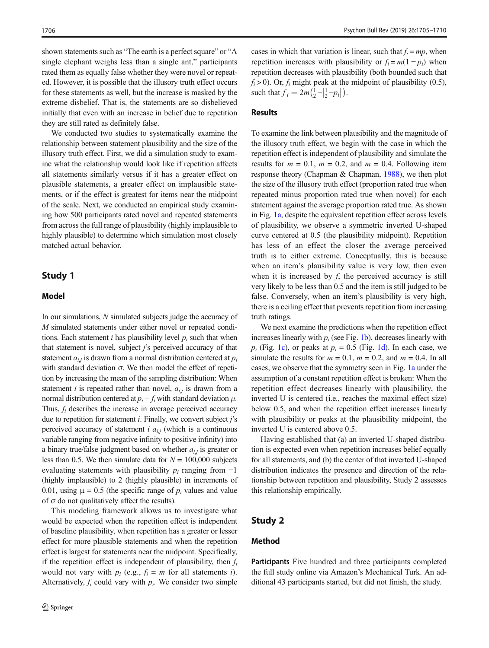shown statements such as "The earth is a perfect square" or "A single elephant weighs less than a single ant," participants rated them as equally false whether they were novel or repeated. However, it is possible that the illusory truth effect occurs for these statements as well, but the increase is masked by the extreme disbelief. That is, the statements are so disbelieved initially that even with an increase in belief due to repetition they are still rated as definitely false.

We conducted two studies to systematically examine the relationship between statement plausibility and the size of the illusory truth effect. First, we did a simulation study to examine what the relationship would look like if repetition affects all statements similarly versus if it has a greater effect on plausible statements, a greater effect on implausible statements, or if the effect is greatest for items near the midpoint of the scale. Next, we conducted an empirical study examining how 500 participants rated novel and repeated statements from across the full range of plausibility (highly implausible to highly plausible) to determine which simulation most closely matched actual behavior.

# Study 1

# Model

In our simulations, N simulated subjects judge the accuracy of M simulated statements under either novel or repeated conditions. Each statement *i* has plausibility level  $p_i$  such that when that statement is novel, subject  $i$ 's perceived accuracy of that statement  $a_{i,j}$  is drawn from a normal distribution centered at  $p_i$ with standard deviation σ. We then model the effect of repetition by increasing the mean of the sampling distribution: When statement *i* is repeated rather than novel,  $a_{i,j}$  is drawn from a normal distribution centered at  $p_i + f_i$  with standard deviation μ. Thus,  $f_i$  describes the increase in average perceived accuracy due to repetition for statement  $i$ . Finally, we convert subject  $j$ 's perceived accuracy of statement  $i a_{i,j}$  (which is a continuous variable ranging from negative infinity to positive infinity) into a binary true/false judgment based on whether  $a_{i,j}$  is greater or less than 0.5. We then simulate data for  $N = 100,000$  subjects evaluating statements with plausibility  $p_i$  ranging from  $-1$ (highly implausible) to 2 (highly plausible) in increments of 0.01, using  $\mu = 0.5$  (the specific range of  $p_i$  values and value of σ do not qualitatively affect the results).

This modeling framework allows us to investigate what would be expected when the repetition effect is independent of baseline plausibility, when repetition has a greater or lesser effect for more plausible statements and when the repetition effect is largest for statements near the midpoint. Specifically, if the repetition effect is independent of plausibility, then  $f_i$ would not vary with  $p_i$  (e.g.,  $f_i = m$  for all statements *i*). Alternatively,  $f_i$  could vary with  $p_i$ . We consider two simple

cases in which that variation is linear, such that  $f_i = mp_i$  when repetition increases with plausibility or  $f_i = m(1 - p_i)$  when repetition decreases with plausibility (both bounded such that  $f_i > 0$ ). Or,  $f_i$  might peak at the midpoint of plausibility (0.5), such that  $f_i = 2m(\frac{1}{2} - |\frac{1}{2} - p_i|).$ 

## Results

To examine the link between plausibility and the magnitude of the illusory truth effect, we begin with the case in which the repetition effect is independent of plausibility and simulate the results for  $m = 0.1$ ,  $m = 0.2$ , and  $m = 0.4$ . Following item response theory (Chapman & Chapman, [1988\)](#page-5-0), we then plot the size of the illusory truth effect (proportion rated true when repeated minus proportion rated true when novel) for each statement against the average proportion rated true. As shown in Fig. [1a](#page-2-0), despite the equivalent repetition effect across levels of plausibility, we observe a symmetric inverted U-shaped curve centered at 0.5 (the plausibility midpoint). Repetition has less of an effect the closer the average perceived truth is to either extreme. Conceptually, this is because when an item's plausibility value is very low, then even when it is increased by  $f$ , the perceived accuracy is still very likely to be less than 0.5 and the item is still judged to be false. Conversely, when an item's plausibility is very high, there is a ceiling effect that prevents repetition from increasing truth ratings.

We next examine the predictions when the repetition effect increases linearly with  $p_i$  (see Fig. [1b\)](#page-2-0), decreases linearly with  $p_i$  (Fig. [1c](#page-2-0)), or peaks at  $p_i = 0.5$  (Fig. [1d](#page-2-0)). In each case, we simulate the results for  $m = 0.1$ ,  $m = 0.2$ , and  $m = 0.4$ . In all cases, we observe that the symmetry seen in Fig. [1a](#page-2-0) under the assumption of a constant repetition effect is broken: When the repetition effect decreases linearly with plausibility, the inverted U is centered (i.e., reaches the maximal effect size) below 0.5, and when the repetition effect increases linearly with plausibility or peaks at the plausibility midpoint, the inverted U is centered above 0.5.

Having established that (a) an inverted U-shaped distribution is expected even when repetition increases belief equally for all statements, and (b) the center of that inverted U-shaped distribution indicates the presence and direction of the relationship between repetition and plausibility, Study 2 assesses this relationship empirically.

# Study 2

### Method

Participants Five hundred and three participants completed the full study online via Amazon's Mechanical Turk. An additional 43 participants started, but did not finish, the study.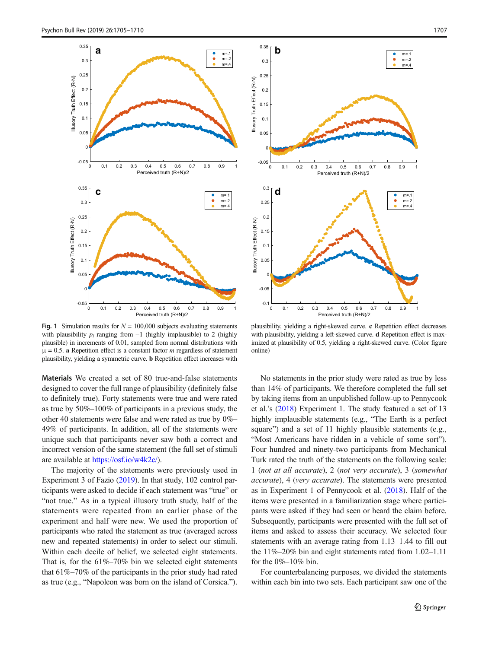<span id="page-2-0"></span>

Fig. 1 Simulation results for  $N = 100,000$  subjects evaluating statements with plausibility  $p_i$  ranging from  $-1$  (highly implausible) to 2 (highly plausible) in increments of 0.01, sampled from normal distributions with  $\mu = 0.5$ . a Repetition effect is a constant factor *m* regardless of statement plausibility, yielding a symmetric curve. b Repetition effect increases with

Materials We created a set of 80 true-and-false statements designed to cover the full range of plausibility (definitely false to definitely true). Forty statements were true and were rated as true by 50%–100% of participants in a previous study, the other 40 statements were false and were rated as true by 0%– 49% of participants. In addition, all of the statements were unique such that participants never saw both a correct and incorrect version of the same statement (the full set of stimuli are available at [https://osf.io/w4k2c/\)](https://osf.io/w4k2c/).

The majority of the statements were previously used in Experiment 3 of Fazio ([2019](#page-5-0)). In that study, 102 control participants were asked to decide if each statement was "true" or "not true." As in a typical illusory truth study, half of the statements were repeated from an earlier phase of the experiment and half were new. We used the proportion of participants who rated the statement as true (averaged across new and repeated statements) in order to select our stimuli. Within each decile of belief, we selected eight statements. That is, for the 61%–70% bin we selected eight statements that 61%–70% of the participants in the prior study had rated as true (e.g., "Napoleon was born on the island of Corsica.").



plausibility, yielding a right-skewed curve. c Repetition effect decreases with plausibility, yielding a left-skewed curve. d Repetition effect is maximized at plausibility of 0.5, yielding a right-skewed curve. (Color figure online)

No statements in the prior study were rated as true by less than 14% of participants. We therefore completed the full set by taking items from an unpublished follow-up to Pennycook et al.'s ([2018](#page-5-0)) Experiment 1. The study featured a set of 13 highly implausible statements (e.g., "The Earth is a perfect square") and a set of 11 highly plausible statements (e.g., "Most Americans have ridden in a vehicle of some sort"). Four hundred and ninety-two participants from Mechanical Turk rated the truth of the statements on the following scale: 1 (not at all accurate), 2 (not very accurate), 3 (somewhat accurate), 4 (very accurate). The statements were presented as in Experiment 1 of Pennycook et al. [\(2018\)](#page-5-0). Half of the items were presented in a familiarization stage where participants were asked if they had seen or heard the claim before. Subsequently, participants were presented with the full set of items and asked to assess their accuracy. We selected four statements with an average rating from 1.13–1.44 to fill out the 11%–20% bin and eight statements rated from 1.02–1.11 for the  $0\%$ –10% bin.

For counterbalancing purposes, we divided the statements within each bin into two sets. Each participant saw one of the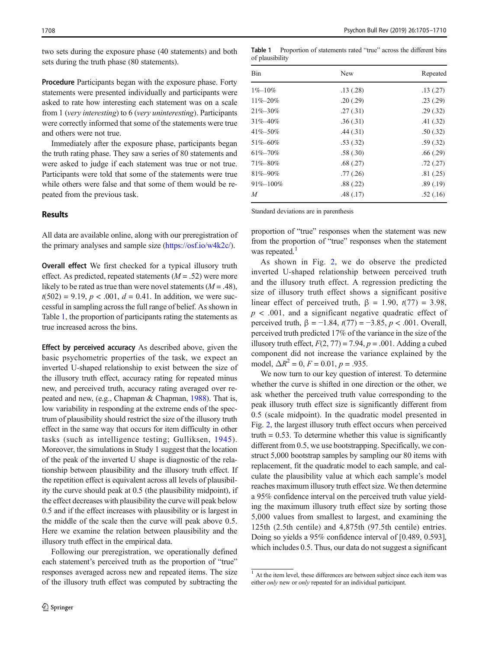two sets during the exposure phase (40 statements) and both sets during the truth phase (80 statements).

Procedure Participants began with the exposure phase. Forty statements were presented individually and participants were asked to rate how interesting each statement was on a scale from 1 (very interesting) to 6 (very uninteresting). Participants were correctly informed that some of the statements were true and others were not true.

Immediately after the exposure phase, participants began the truth rating phase. They saw a series of 80 statements and were asked to judge if each statement was true or not true. Participants were told that some of the statements were true while others were false and that some of them would be repeated from the previous task.

# Results

All data are available online, along with our preregistration of the primary analyses and sample size ([https://osf.io/w4k2c/\)](https://osf.io/w4k2c/).

Overall effect We first checked for a typical illusory truth effect. As predicted, repeated statements  $(M = .52)$  were more likely to be rated as true than were novel statements  $(M = .48)$ ,  $t(502) = 9.19, p < .001, d = 0.41$ . In addition, we were successful in sampling across the full range of belief. As shown in Table 1, the proportion of participants rating the statements as true increased across the bins.

Effect by perceived accuracy As described above, given the basic psychometric properties of the task, we expect an inverted U-shaped relationship to exist between the size of the illusory truth effect, accuracy rating for repeated minus new, and perceived truth, accuracy rating averaged over repeated and new, (e.g., Chapman & Chapman, [1988](#page-5-0)). That is, low variability in responding at the extreme ends of the spectrum of plausibility should restrict the size of the illusory truth effect in the same way that occurs for item difficulty in other tasks (such as intelligence testing; Gulliksen, [1945\)](#page-5-0). Moreover, the simulations in Study 1 suggest that the location of the peak of the inverted U shape is diagnostic of the relationship between plausibility and the illusory truth effect. If the repetition effect is equivalent across all levels of plausibility the curve should peak at 0.5 (the plausibility midpoint), if the effect decreases with plausibility the curve will peak below 0.5 and if the effect increases with plausibility or is largest in the middle of the scale then the curve will peak above 0.5. Here we examine the relation between plausibility and the illusory truth effect in the empirical data.

Following our preregistration, we operationally defined each statement's perceived truth as the proportion of "true" responses averaged across new and repeated items. The size of the illusory truth effect was computed by subtracting the

Table 1 Proportion of statements rated "true" across the different bins of plausibility

| Bin           | New      | Repeated |
|---------------|----------|----------|
| $1\% - 10\%$  | .13(.28) | .13(.27) |
| $11\% - 20\%$ | .20(.29) | .23(.29) |
| $21\% - 30\%$ | .27(.31) | .29(.32) |
| 31%-40%       | .36(.31) | .41(.32) |
| 41%–50%       | .44(.31) | .50(.32) |
| 51%-60%       | .53(.32) | .59(.32) |
| $61\% - 70\%$ | .58(.30) | .66(.29) |
| 71%-80%       | .68(.27) | .72(.27) |
| 81%-90%       | .77(.26) | .81(.25) |
| 91%-100%      | .88(.22) | .89(.19) |
| M             | .48(.17) | .52(.16) |

Standard deviations are in parenthesis

proportion of "true" responses when the statement was new from the proportion of "true" responses when the statement was repeated. $<sup>1</sup>$ </sup>

As shown in Fig. [2](#page-4-0), we do observe the predicted inverted U-shaped relationship between perceived truth and the illusory truth effect. A regression predicting the size of illusory truth effect shows a significant positive linear effect of perceived truth,  $\beta = 1.90$ ,  $t(77) = 3.98$ ,  $p < .001$ , and a significant negative quadratic effect of perceived truth,  $β = −1.84$ ,  $t(77) = −3.85$ ,  $p < .001$ . Overall, perceived truth predicted 17% of the variance in the size of the illusory truth effect,  $F(2, 77) = 7.94$ ,  $p = .001$ . Adding a cubed component did not increase the variance explained by the model,  $\Delta R^2 = 0$ ,  $F = 0.01$ ,  $p = .935$ .

We now turn to our key question of interest. To determine whether the curve is shifted in one direction or the other, we ask whether the perceived truth value corresponding to the peak illusory truth effect size is significantly different from 0.5 (scale midpoint). In the quadratic model presented in Fig. [2](#page-4-0), the largest illusory truth effect occurs when perceived truth  $= 0.53$ . To determine whether this value is significantly different from 0.5, we use bootstrapping. Specifically, we construct 5,000 bootstrap samples by sampling our 80 items with replacement, fit the quadratic model to each sample, and calculate the plausibility value at which each sample's model reaches maximum illusory truth effect size. We then determine a 95% confidence interval on the perceived truth value yielding the maximum illusory truth effect size by sorting those 5,000 values from smallest to largest, and examining the 125th (2.5th centile) and 4,875th (97.5th centile) entries. Doing so yields a 95% confidence interval of [0.489, 0.593], which includes 0.5. Thus, our data do not suggest a significant

 $1$  At the item level, these differences are between subject since each item was either only new or only repeated for an individual participant.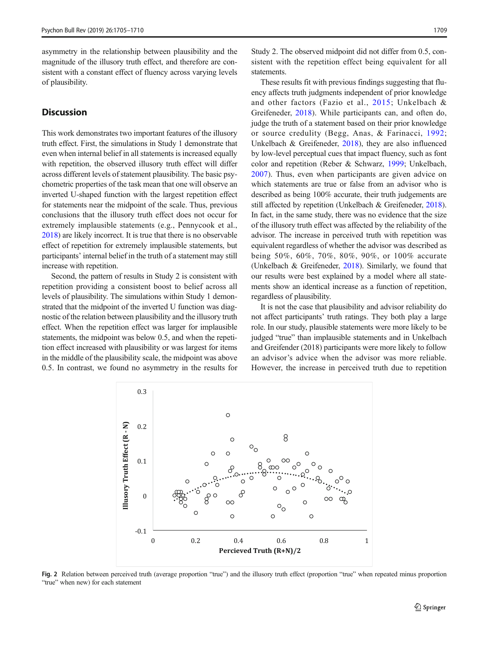<span id="page-4-0"></span>asymmetry in the relationship between plausibility and the magnitude of the illusory truth effect, and therefore are consistent with a constant effect of fluency across varying levels of plausibility.

# **Discussion**

This work demonstrates two important features of the illusory truth effect. First, the simulations in Study 1 demonstrate that even when internal belief in all statements is increased equally with repetition, the observed illusory truth effect will differ across different levels of statement plausibility. The basic psychometric properties of the task mean that one will observe an inverted U-shaped function with the largest repetition effect for statements near the midpoint of the scale. Thus, previous conclusions that the illusory truth effect does not occur for extremely implausible statements (e.g., Pennycook et al., [2018\)](#page-5-0) are likely incorrect. It is true that there is no observable effect of repetition for extremely implausible statements, but participants' internal belief in the truth of a statement may still increase with repetition.

Second, the pattern of results in Study 2 is consistent with repetition providing a consistent boost to belief across all levels of plausibility. The simulations within Study 1 demonstrated that the midpoint of the inverted U function was diagnostic of the relation between plausibility and the illusory truth effect. When the repetition effect was larger for implausible statements, the midpoint was below 0.5, and when the repetition effect increased with plausibility or was largest for items in the middle of the plausibility scale, the midpoint was above 0.5. In contrast, we found no asymmetry in the results for Study 2. The observed midpoint did not differ from 0.5, consistent with the repetition effect being equivalent for all statements.

These results fit with previous findings suggesting that fluency affects truth judgments independent of prior knowledge and other factors (Fazio et al., [2015](#page-5-0); Unkelbach & Greifeneder, [2018](#page-5-0)). While participants can, and often do, judge the truth of a statement based on their prior knowledge or source credulity (Begg, Anas, & Farinacci, [1992;](#page-5-0) Unkelbach & Greifeneder, [2018\)](#page-5-0), they are also influenced by low-level perceptual cues that impact fluency, such as font color and repetition (Reber & Schwarz, [1999](#page-5-0); Unkelbach, [2007](#page-5-0)). Thus, even when participants are given advice on which statements are true or false from an advisor who is described as being 100% accurate, their truth judgements are still affected by repetition (Unkelbach & Greifeneder, [2018\)](#page-5-0). In fact, in the same study, there was no evidence that the size of the illusory truth effect was affected by the reliability of the advisor. The increase in perceived truth with repetition was equivalent regardless of whether the advisor was described as being 50%, 60%, 70%, 80%, 90%, or 100% accurate (Unkelbach & Greifeneder, [2018\)](#page-5-0). Similarly, we found that our results were best explained by a model where all statements show an identical increase as a function of repetition, regardless of plausibility.

It is not the case that plausibility and advisor reliability do not affect participants' truth ratings. They both play a large role. In our study, plausible statements were more likely to be judged "true" than implausible statements and in Unkelbach and Greifender (2018) participants were more likely to follow an advisor's advice when the advisor was more reliable. However, the increase in perceived truth due to repetition



Fig. 2 Relation between perceived truth (average proportion "true") and the illusory truth effect (proportion "true" when repeated minus proportion "true" when new) for each statement